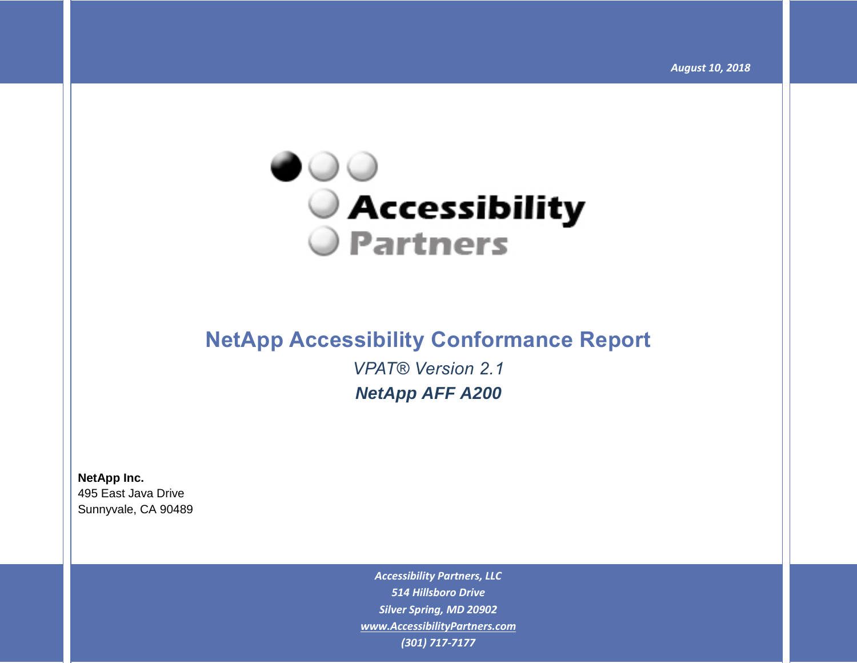

# **NetApp Accessibility Conformance Report** *VPAT® Version 2.1 NetApp AFF A200*

**NetApp Inc.** 495 East Java Drive Sunnyvale, CA 90489

> *Accessibility Partners, LLC 514 Hillsboro Drive Silver Spring, MD 20902 [www.AccessibilityPartners.com](http://www.accessibilitypartners.com/) (301) 717-7177*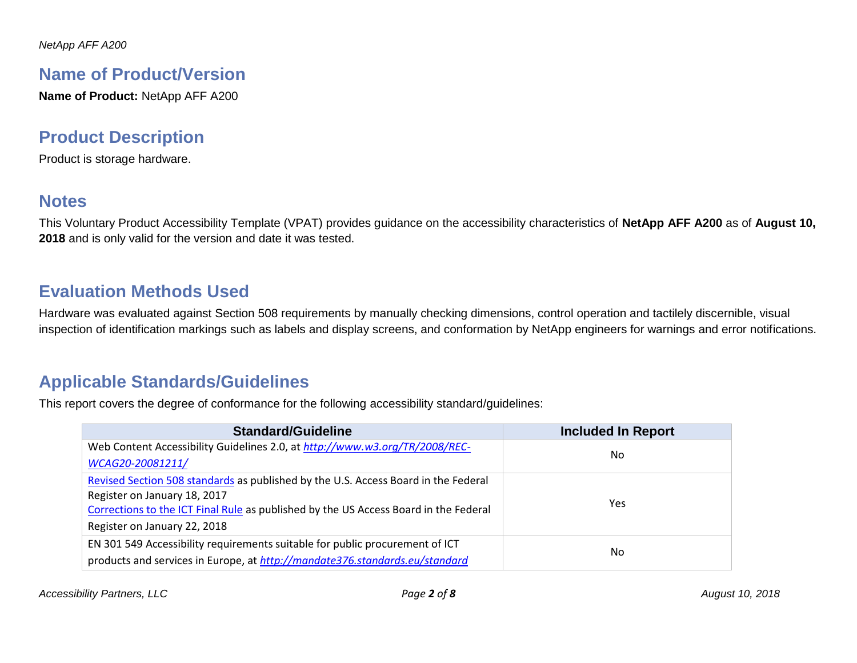## **Name of Product/Version**

**Name of Product:** NetApp AFF A200

# **Product Description**

Product is storage hardware.

## **Notes**

This Voluntary Product Accessibility Template (VPAT) provides guidance on the accessibility characteristics of **NetApp AFF A200** as of **August 10, 2018** and is only valid for the version and date it was tested.

# **Evaluation Methods Used**

Hardware was evaluated against Section 508 requirements by manually checking dimensions, control operation and tactilely discernible, visual inspection of identification markings such as labels and display screens, and conformation by NetApp engineers for warnings and error notifications.

# **Applicable Standards/Guidelines**

This report covers the degree of conformance for the following accessibility standard/guidelines:

| <b>Standard/Guideline</b>                                                            | <b>Included In Report</b> |  |
|--------------------------------------------------------------------------------------|---------------------------|--|
| Web Content Accessibility Guidelines 2.0, at http://www.w3.org/TR/2008/REC-          | No.                       |  |
| WCAG20-20081211/                                                                     |                           |  |
| Revised Section 508 standards as published by the U.S. Access Board in the Federal   |                           |  |
| Register on January 18, 2017                                                         | <b>Yes</b>                |  |
| Corrections to the ICT Final Rule as published by the US Access Board in the Federal |                           |  |
| Register on January 22, 2018                                                         |                           |  |
| EN 301 549 Accessibility requirements suitable for public procurement of ICT         |                           |  |
| products and services in Europe, at http://mandate376.standards.eu/standard          | No.                       |  |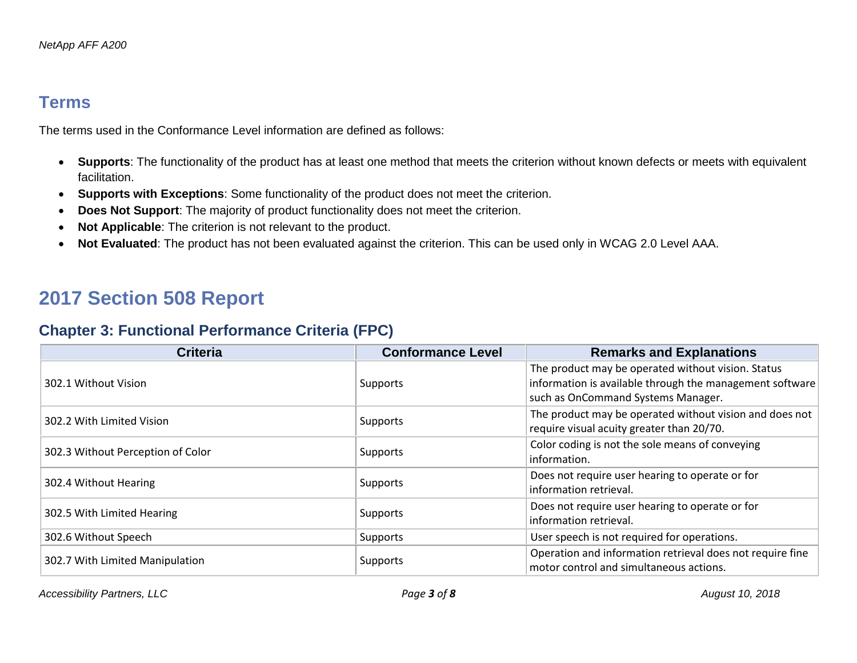#### **Terms**

The terms used in the Conformance Level information are defined as follows:

- **Supports**: The functionality of the product has at least one method that meets the criterion without known defects or meets with equivalent facilitation.
- **Supports with Exceptions**: Some functionality of the product does not meet the criterion.
- **Does Not Support**: The majority of product functionality does not meet the criterion.
- **Not Applicable**: The criterion is not relevant to the product.
- **Not Evaluated**: The product has not been evaluated against the criterion. This can be used only in WCAG 2.0 Level AAA.

# **2017 Section 508 Report**

#### **Chapter 3: Functional Performance Criteria (FPC)**

| <b>Criteria</b>                   | <b>Conformance Level</b> | <b>Remarks and Explanations</b>                                                                                                                      |
|-----------------------------------|--------------------------|------------------------------------------------------------------------------------------------------------------------------------------------------|
| 302.1 Without Vision              | Supports                 | The product may be operated without vision. Status<br>information is available through the management software<br>such as OnCommand Systems Manager. |
| 302.2 With Limited Vision         | <b>Supports</b>          | The product may be operated without vision and does not<br>require visual acuity greater than 20/70.                                                 |
| 302.3 Without Perception of Color | Supports                 | Color coding is not the sole means of conveying<br>information.                                                                                      |
| 302.4 Without Hearing             | Supports                 | Does not require user hearing to operate or for<br>information retrieval.                                                                            |
| 302.5 With Limited Hearing        | Supports                 | Does not require user hearing to operate or for<br>information retrieval.                                                                            |
| 302.6 Without Speech              | Supports                 | User speech is not required for operations.                                                                                                          |
| 302.7 With Limited Manipulation   | Supports                 | Operation and information retrieval does not require fine<br>motor control and simultaneous actions.                                                 |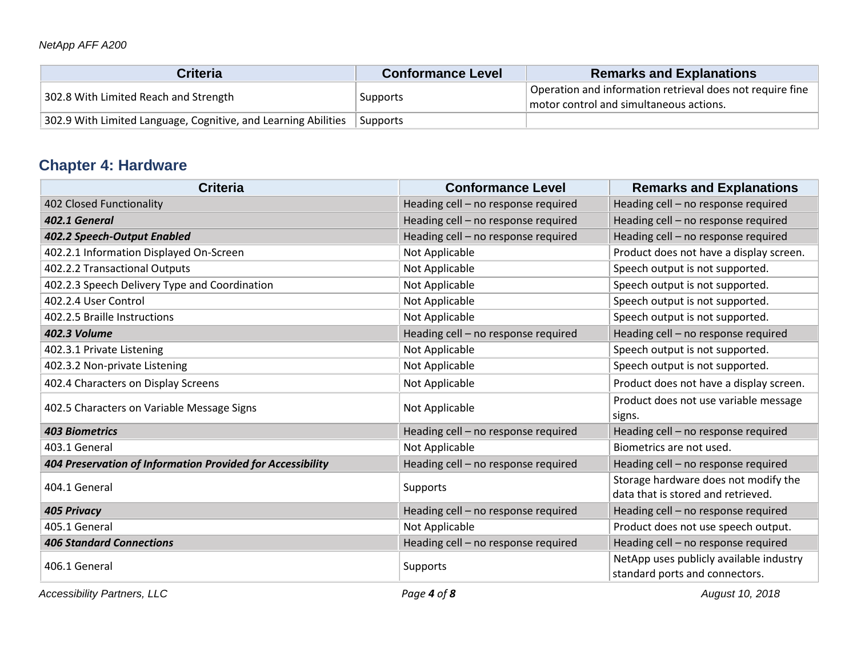| Criteria                                                       | <b>Conformance Level</b> | <b>Remarks and Explanations</b>                                                                      |
|----------------------------------------------------------------|--------------------------|------------------------------------------------------------------------------------------------------|
| 302.8 With Limited Reach and Strength                          | Supports                 | Operation and information retrieval does not require fine<br>motor control and simultaneous actions. |
| 302.9 With Limited Language, Cognitive, and Learning Abilities | ' Supports               |                                                                                                      |

# **Chapter 4: Hardware**

| <b>Criteria</b>                                            | <b>Conformance Level</b>            | <b>Remarks and Explanations</b>                                            |
|------------------------------------------------------------|-------------------------------------|----------------------------------------------------------------------------|
| 402 Closed Functionality                                   | Heading cell - no response required | Heading cell - no response required                                        |
| 402.1 General                                              | Heading cell - no response required | Heading cell - no response required                                        |
| 402.2 Speech-Output Enabled                                | Heading cell - no response required | Heading cell - no response required                                        |
| 402.2.1 Information Displayed On-Screen                    | Not Applicable                      | Product does not have a display screen.                                    |
| 402.2.2 Transactional Outputs                              | Not Applicable                      | Speech output is not supported.                                            |
| 402.2.3 Speech Delivery Type and Coordination              | Not Applicable                      | Speech output is not supported.                                            |
| 402.2.4 User Control                                       | Not Applicable                      | Speech output is not supported.                                            |
| 402.2.5 Braille Instructions                               | Not Applicable                      | Speech output is not supported.                                            |
| <b>402.3 Volume</b>                                        | Heading cell - no response required | Heading cell - no response required                                        |
| 402.3.1 Private Listening                                  | Not Applicable                      | Speech output is not supported.                                            |
| 402.3.2 Non-private Listening                              | Not Applicable                      | Speech output is not supported.                                            |
| 402.4 Characters on Display Screens                        | Not Applicable                      | Product does not have a display screen.                                    |
| 402.5 Characters on Variable Message Signs                 | Not Applicable                      | Product does not use variable message<br>signs.                            |
| <b>403 Biometrics</b>                                      | Heading cell - no response required | Heading cell - no response required                                        |
| 403.1 General                                              | Not Applicable                      | Biometrics are not used.                                                   |
| 404 Preservation of Information Provided for Accessibility | Heading cell - no response required | Heading cell - no response required                                        |
| 404.1 General                                              | Supports                            | Storage hardware does not modify the<br>data that is stored and retrieved. |
| <b>405 Privacy</b>                                         | Heading cell - no response required | Heading cell - no response required                                        |
| 405.1 General                                              | Not Applicable                      | Product does not use speech output.                                        |
| <b>406 Standard Connections</b>                            | Heading cell - no response required | Heading cell - no response required                                        |
| 406.1 General                                              | Supports                            | NetApp uses publicly available industry<br>standard ports and connectors.  |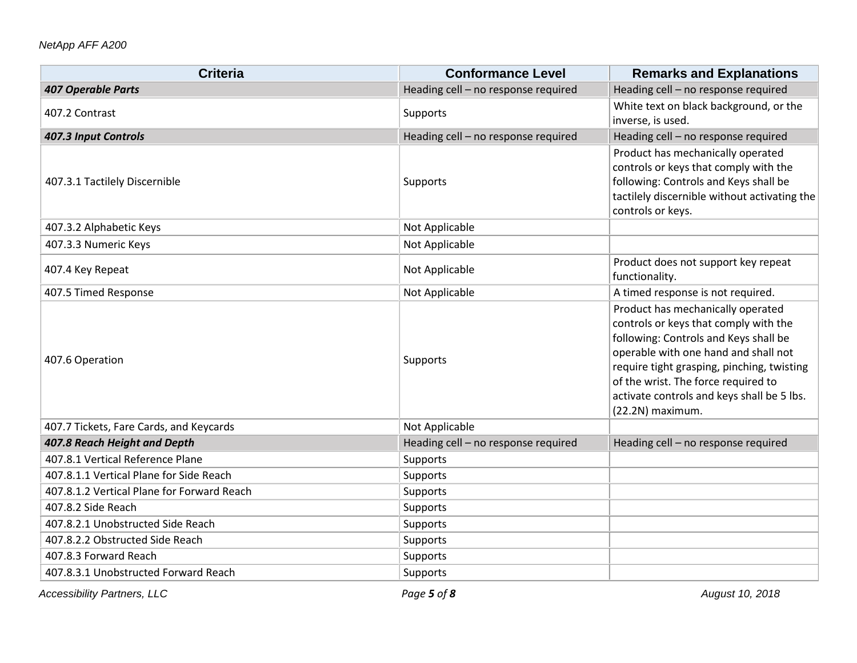| <b>Criteria</b>                            | <b>Conformance Level</b>            | <b>Remarks and Explanations</b>                                                                                                                                                                                                                                                                                    |
|--------------------------------------------|-------------------------------------|--------------------------------------------------------------------------------------------------------------------------------------------------------------------------------------------------------------------------------------------------------------------------------------------------------------------|
| <b>407 Operable Parts</b>                  | Heading cell - no response required | Heading cell - no response required                                                                                                                                                                                                                                                                                |
| 407.2 Contrast                             | Supports                            | White text on black background, or the<br>inverse, is used.                                                                                                                                                                                                                                                        |
| 407.3 Input Controls                       | Heading cell - no response required | Heading cell - no response required                                                                                                                                                                                                                                                                                |
| 407.3.1 Tactilely Discernible              | Supports                            | Product has mechanically operated<br>controls or keys that comply with the<br>following: Controls and Keys shall be<br>tactilely discernible without activating the<br>controls or keys.                                                                                                                           |
| 407.3.2 Alphabetic Keys                    | Not Applicable                      |                                                                                                                                                                                                                                                                                                                    |
| 407.3.3 Numeric Keys                       | Not Applicable                      |                                                                                                                                                                                                                                                                                                                    |
| 407.4 Key Repeat                           | Not Applicable                      | Product does not support key repeat<br>functionality.                                                                                                                                                                                                                                                              |
| 407.5 Timed Response                       | Not Applicable                      | A timed response is not required.                                                                                                                                                                                                                                                                                  |
| 407.6 Operation                            | Supports                            | Product has mechanically operated<br>controls or keys that comply with the<br>following: Controls and Keys shall be<br>operable with one hand and shall not<br>require tight grasping, pinching, twisting<br>of the wrist. The force required to<br>activate controls and keys shall be 5 lbs.<br>(22.2N) maximum. |
| 407.7 Tickets, Fare Cards, and Keycards    | Not Applicable                      |                                                                                                                                                                                                                                                                                                                    |
| 407.8 Reach Height and Depth               | Heading cell - no response required | Heading cell - no response required                                                                                                                                                                                                                                                                                |
| 407.8.1 Vertical Reference Plane           | Supports                            |                                                                                                                                                                                                                                                                                                                    |
| 407.8.1.1 Vertical Plane for Side Reach    | Supports                            |                                                                                                                                                                                                                                                                                                                    |
| 407.8.1.2 Vertical Plane for Forward Reach | Supports                            |                                                                                                                                                                                                                                                                                                                    |
| 407.8.2 Side Reach                         | Supports                            |                                                                                                                                                                                                                                                                                                                    |
| 407.8.2.1 Unobstructed Side Reach          | Supports                            |                                                                                                                                                                                                                                                                                                                    |
| 407.8.2.2 Obstructed Side Reach            | Supports                            |                                                                                                                                                                                                                                                                                                                    |
| 407.8.3 Forward Reach                      | Supports                            |                                                                                                                                                                                                                                                                                                                    |
| 407.8.3.1 Unobstructed Forward Reach       | Supports                            |                                                                                                                                                                                                                                                                                                                    |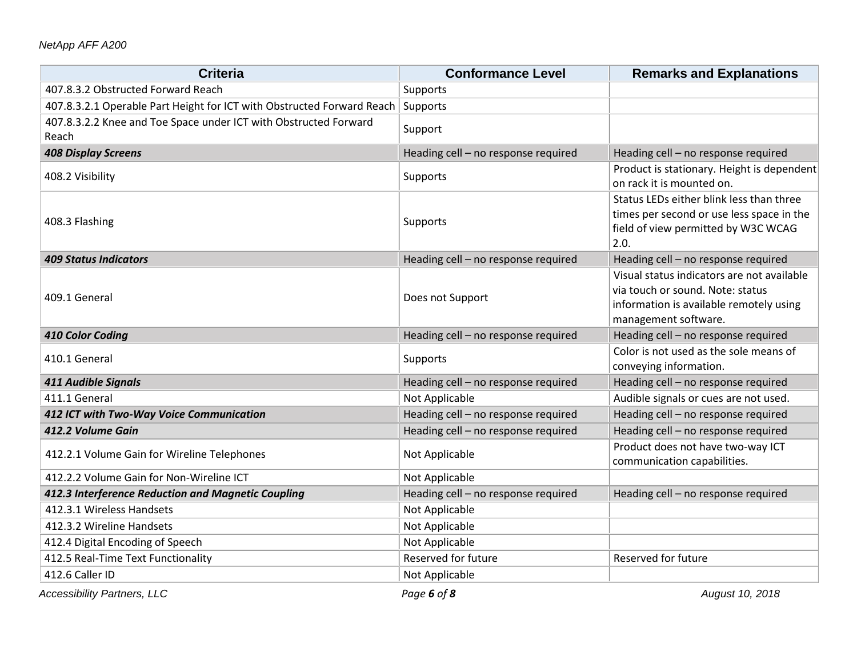#### *NetApp AFF A200*

| <b>Criteria</b>                                                           | <b>Conformance Level</b>            | <b>Remarks and Explanations</b>                                                                                                                   |
|---------------------------------------------------------------------------|-------------------------------------|---------------------------------------------------------------------------------------------------------------------------------------------------|
| 407.8.3.2 Obstructed Forward Reach                                        | Supports                            |                                                                                                                                                   |
| 407.8.3.2.1 Operable Part Height for ICT with Obstructed Forward Reach    | Supports                            |                                                                                                                                                   |
| 407.8.3.2.2 Knee and Toe Space under ICT with Obstructed Forward<br>Reach | Support                             |                                                                                                                                                   |
| <b>408 Display Screens</b>                                                | Heading cell - no response required | Heading cell - no response required                                                                                                               |
| 408.2 Visibility                                                          | Supports                            | Product is stationary. Height is dependent<br>on rack it is mounted on.                                                                           |
| 408.3 Flashing                                                            | Supports                            | Status LEDs either blink less than three<br>times per second or use less space in the<br>field of view permitted by W3C WCAG<br>2.0.              |
| <b>409 Status Indicators</b>                                              | Heading cell - no response required | Heading cell - no response required                                                                                                               |
| 409.1 General                                                             | Does not Support                    | Visual status indicators are not available<br>via touch or sound. Note: status<br>information is available remotely using<br>management software. |
| 410 Color Coding                                                          | Heading cell - no response required | Heading cell - no response required                                                                                                               |
| 410.1 General                                                             | Supports                            | Color is not used as the sole means of<br>conveying information.                                                                                  |
| 411 Audible Signals                                                       | Heading cell - no response required | Heading cell - no response required                                                                                                               |
| 411.1 General                                                             | Not Applicable                      | Audible signals or cues are not used.                                                                                                             |
| 412 ICT with Two-Way Voice Communication                                  | Heading cell - no response required | Heading cell - no response required                                                                                                               |
| 412.2 Volume Gain                                                         | Heading cell - no response required | Heading cell - no response required                                                                                                               |
| 412.2.1 Volume Gain for Wireline Telephones                               | Not Applicable                      | Product does not have two-way ICT<br>communication capabilities.                                                                                  |
| 412.2.2 Volume Gain for Non-Wireline ICT                                  | Not Applicable                      |                                                                                                                                                   |
| 412.3 Interference Reduction and Magnetic Coupling                        | Heading cell - no response required | Heading cell - no response required                                                                                                               |
| 412.3.1 Wireless Handsets                                                 | Not Applicable                      |                                                                                                                                                   |
| 412.3.2 Wireline Handsets                                                 | Not Applicable                      |                                                                                                                                                   |
| 412.4 Digital Encoding of Speech                                          | Not Applicable                      |                                                                                                                                                   |
| 412.5 Real-Time Text Functionality                                        | Reserved for future                 | Reserved for future                                                                                                                               |
| 412.6 Caller ID                                                           | Not Applicable                      |                                                                                                                                                   |

*Accessibility Partners, LLC Page 6 of 8 August 10, 2018*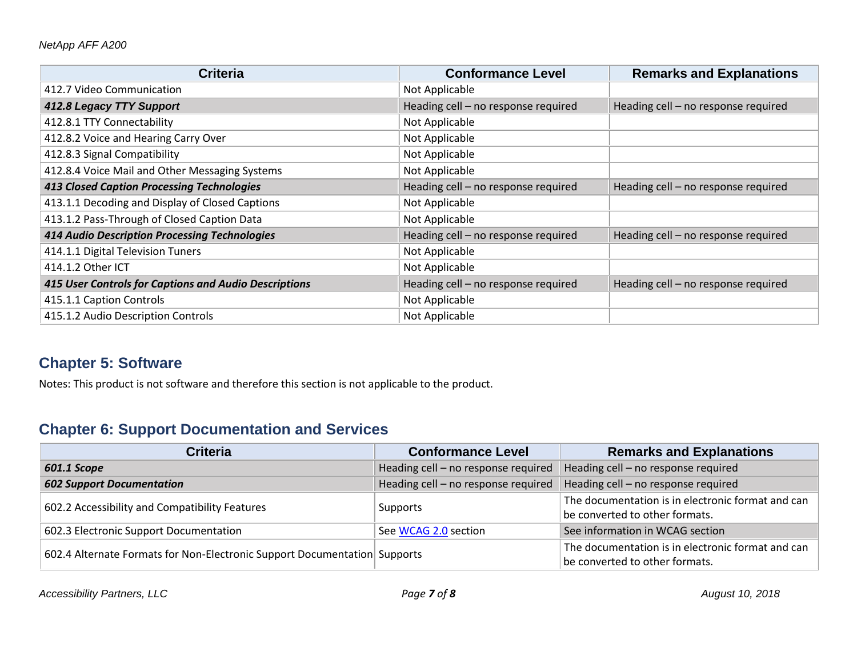| <b>Criteria</b>                                       | <b>Conformance Level</b>            | <b>Remarks and Explanations</b>     |
|-------------------------------------------------------|-------------------------------------|-------------------------------------|
| 412.7 Video Communication                             | Not Applicable                      |                                     |
| 412.8 Legacy TTY Support                              | Heading cell - no response required | Heading cell - no response required |
| 412.8.1 TTY Connectability                            | Not Applicable                      |                                     |
| 412.8.2 Voice and Hearing Carry Over                  | Not Applicable                      |                                     |
| 412.8.3 Signal Compatibility                          | Not Applicable                      |                                     |
| 412.8.4 Voice Mail and Other Messaging Systems        | Not Applicable                      |                                     |
| <b>413 Closed Caption Processing Technologies</b>     | Heading cell - no response required | Heading cell - no response required |
| 413.1.1 Decoding and Display of Closed Captions       | Not Applicable                      |                                     |
| 413.1.2 Pass-Through of Closed Caption Data           | Not Applicable                      |                                     |
| <b>414 Audio Description Processing Technologies</b>  | Heading cell - no response required | Heading cell - no response required |
| 414.1.1 Digital Television Tuners                     | Not Applicable                      |                                     |
| 414.1.2 Other ICT                                     | Not Applicable                      |                                     |
| 415 User Controls for Captions and Audio Descriptions | Heading cell - no response required | Heading cell - no response required |
| 415.1.1 Caption Controls                              | Not Applicable                      |                                     |
| 415.1.2 Audio Description Controls                    | Not Applicable                      |                                     |

### **Chapter 5: Software**

Notes: This product is not software and therefore this section is not applicable to the product.

## **Chapter 6: Support Documentation and Services**

| <b>Criteria</b>                                                           | <b>Conformance Level</b>            | <b>Remarks and Explanations</b>                                                     |
|---------------------------------------------------------------------------|-------------------------------------|-------------------------------------------------------------------------------------|
| 601.1 Scope                                                               | Heading cell - no response required | Heading cell - no response required                                                 |
| <b>602 Support Documentation</b>                                          | Heading cell - no response required | Heading cell - no response required                                                 |
| 602.2 Accessibility and Compatibility Features                            | Supports                            | The documentation is in electronic format and can<br>be converted to other formats. |
| 602.3 Electronic Support Documentation                                    | See WCAG 2.0 section                | See information in WCAG section                                                     |
| 602.4 Alternate Formats for Non-Electronic Support Documentation Supports |                                     | The documentation is in electronic format and can<br>be converted to other formats. |